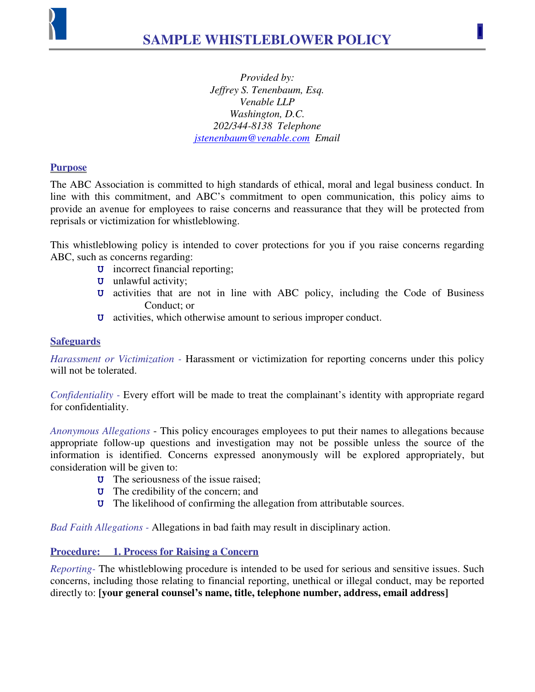

*Provided by: Jeffrey S. Tenenbaum, Esq. Venable LLP Washington, D.C. 202/344-8138 Telephone jstenenbaum@venable.com Email* 

## **Purpose**

The ABC Association is committed to high standards of ethical, moral and legal business conduct. In line with this commitment, and ABC's commitment to open communication, this policy aims to provide an avenue for employees to raise concerns and reassurance that they will be protected from reprisals or victimization for whistleblowing.

This whistleblowing policy is intended to cover protections for you if you raise concerns regarding ABC, such as concerns regarding:

- **U** incorrect financial reporting;
- **U** unlawful activity;
- **U** activities that are not in line with ABC policy, including the Code of Business Conduct; or
- **U** activities, which otherwise amount to serious improper conduct.

## **Safeguards**

*Harassment or Victimization -* Harassment or victimization for reporting concerns under this policy will not be tolerated.

*Confidentiality - Every effort will be made to treat the complainant's identity with appropriate regard* for confidentiality.

*Anonymous Allegations* - This policy encourages employees to put their names to allegations because appropriate follow-up questions and investigation may not be possible unless the source of the information is identified. Concerns expressed anonymously will be explored appropriately, but consideration will be given to:

- **U** The seriousness of the issue raised;
- **U** The credibility of the concern; and
- **U** The likelihood of confirming the allegation from attributable sources.

*Bad Faith Allegations -* Allegations in bad faith may result in disciplinary action.

## **Procedure: 1. Process for Raising a Concern**

*Reporting-* The whistleblowing procedure is intended to be used for serious and sensitive issues. Such concerns, including those relating to financial reporting, unethical or illegal conduct, may be reported directly to: **[your general counsel's name, title, telephone number, address, email address]**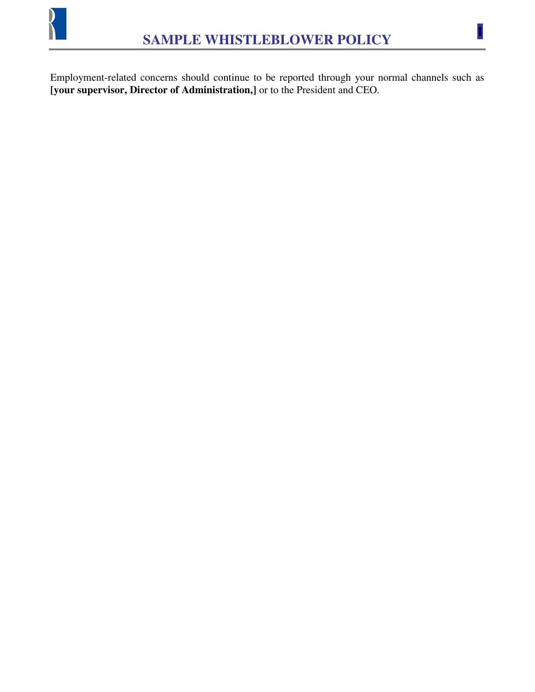

U

Employment-related concerns should continue to be reported through your normal channels such as **[your supervisor, Director of Administration,]** or to the President and CEO.